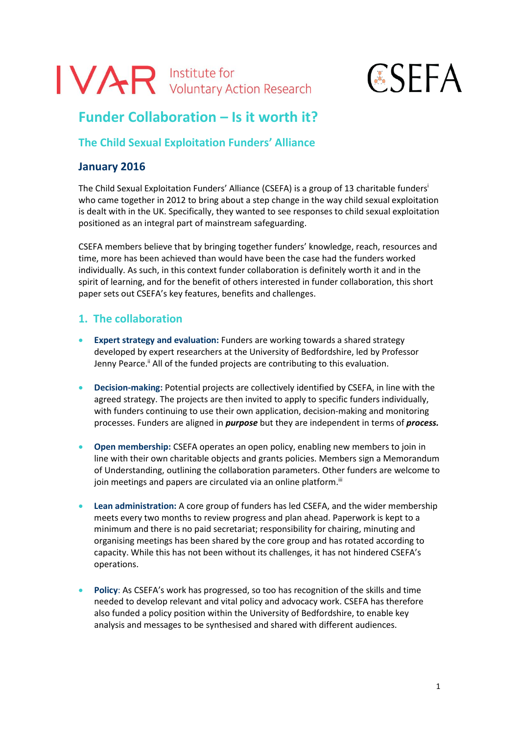# IVAR Institute for<br>Voluntary Action Research

# **ESEFA**

# **Funder Collaboration – Is it worth it?**

# **The Child Sexual Exploitation Funders' Alliance**

# **January 2016**

The Child Sexual Exploitation Funders' Alliance (CSEFA) is a group of 13 charitable funders<sup>i</sup> who came together in 2012 to bring about a step change in the way child sexual exploitation is dealt with in the UK. Specifically, they wanted to see responses to child sexual exploitation positioned as an integral part of mainstream safeguarding.

CSEFA members believe that by bringing together funders' knowledge, reach, resources and time, more has been achieved than would have been the case had the funders worked individually. As such, in this context funder collaboration is definitely worth it and in the spirit of learning, and for the benefit of others interested in funder collaboration, this short paper sets out CSEFA's key features, benefits and challenges.

# **1. The collaboration**

- **Expert strategy and evaluation:** Funders are working towards a shared strategy developed by expert researchers at the University of Bedfordshire, led by Professor Jenny Pearce.<sup>ii</sup> All of the funded projects are contributing to this evaluation.
- **Decision-making:** Potential projects are collectively identified by CSEFA, in line with the agreed strategy. The projects are then invited to apply to specific funders individually, with funders continuing to use their own application, decision-making and monitoring processes. Funders are aligned in *purpose* but they are independent in terms of *process.*
- **Open membership:** CSEFA operates an open policy, enabling new members to join in line with their own charitable objects and grants policies. Members sign a Memorandum of Understanding, outlining the collaboration parameters. Other funders are welcome to join meetings and papers are circulated via an online platform.<sup>ii</sup>
- **Lean administration:** A core group of funders has led CSEFA, and the wider membership meets every two months to review progress and plan ahead. Paperwork is kept to a minimum and there is no paid secretariat; responsibility for chairing, minuting and organising meetings has been shared by the core group and has rotated according to capacity. While this has not been without its challenges, it has not hindered CSEFA's operations.
- **Policy**: As CSEFA's work has progressed, so too has recognition of the skills and time needed to develop relevant and vital policy and advocacy work. CSEFA has therefore also funded a policy position within the University of Bedfordshire, to enable key analysis and messages to be synthesised and shared with different audiences.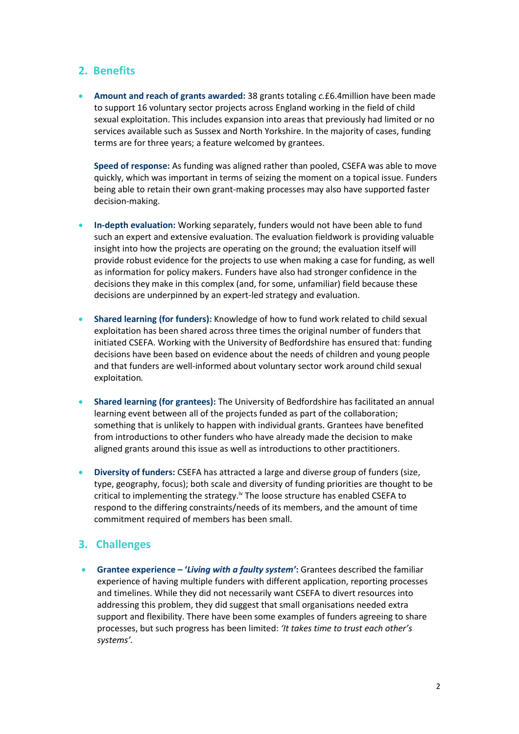#### **2. Benefits**

 **Amount and reach of grants awarded:** 38 grants totaling *c.*£6.4million have been made to support 16 voluntary sector projects across England working in the field of child sexual exploitation. This includes expansion into areas that previously had limited or no services available such as Sussex and North Yorkshire. In the majority of cases, funding terms are for three years; a feature welcomed by grantees.

**Speed of response:** As funding was aligned rather than pooled, CSEFA was able to move quickly, which was important in terms of seizing the moment on a topical issue. Funders being able to retain their own grant-making processes may also have supported faster decision-making.

- **In-depth evaluation:** Working separately, funders would not have been able to fund such an expert and extensive evaluation. The evaluation fieldwork is providing valuable insight into how the projects are operating on the ground; the evaluation itself will provide robust evidence for the projects to use when making a case for funding, as well as information for policy makers. Funders have also had stronger confidence in the decisions they make in this complex (and, for some, unfamiliar) field because these decisions are underpinned by an expert-led strategy and evaluation.
- **Shared learning (for funders):** Knowledge of how to fund work related to child sexual exploitation has been shared across three times the original number of funders that initiated CSEFA. Working with the University of Bedfordshire has ensured that: funding decisions have been based on evidence about the needs of children and young people and that funders are well-informed about voluntary sector work around child sexual exploitation*.*
- **Shared learning (for grantees):** The University of Bedfordshire has facilitated an annual learning event between all of the projects funded as part of the collaboration; something that is unlikely to happen with individual grants. Grantees have benefited from introductions to other funders who have already made the decision to make aligned grants around this issue as well as introductions to other practitioners.
- **Diversity of funders:** CSEFA has attracted a large and diverse group of funders (size, type, geography, focus); both scale and diversity of funding priorities are thought to be critical to implementing the strategy.<sup>iv</sup> The loose structure has enabled CSEFA to respond to the differing constraints/needs of its members, and the amount of time commitment required of members has been small.

### **3. Challenges**

 **Grantee experience – '***Living with a faulty system'***:** Grantees described the familiar experience of having multiple funders with different application, reporting processes and timelines. While they did not necessarily want CSEFA to divert resources into addressing this problem, they did suggest that small organisations needed extra support and flexibility. There have been some examples of funders agreeing to share processes, but such progress has been limited: *'It takes time to trust each other's systems'.*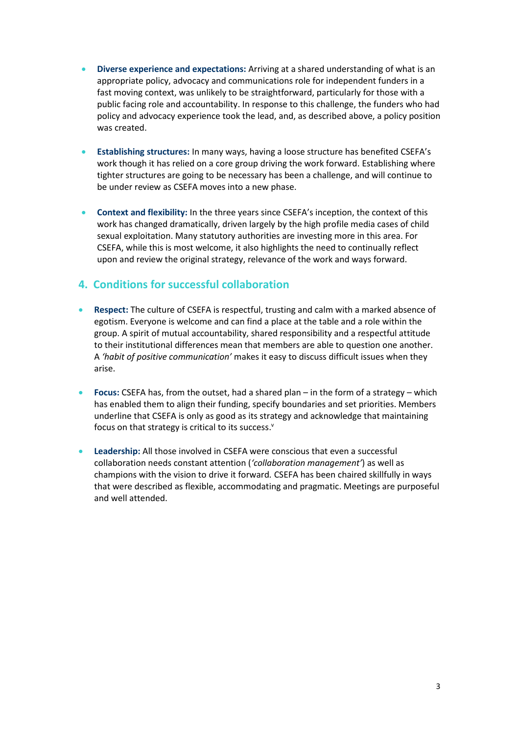- **Diverse experience and expectations:** Arriving at a shared understanding of what is an appropriate policy, advocacy and communications role for independent funders in a fast moving context, was unlikely to be straightforward, particularly for those with a public facing role and accountability. In response to this challenge, the funders who had policy and advocacy experience took the lead, and, as described above, a policy position was created.
- **Establishing structures:** In many ways, having a loose structure has benefited CSEFA's work though it has relied on a core group driving the work forward. Establishing where tighter structures are going to be necessary has been a challenge, and will continue to be under review as CSEFA moves into a new phase.
- **Context and flexibility:** In the three years since CSEFA's inception, the context of this work has changed dramatically, driven largely by the high profile media cases of child sexual exploitation. Many statutory authorities are investing more in this area. For CSEFA, while this is most welcome, it also highlights the need to continually reflect upon and review the original strategy, relevance of the work and ways forward.

### **4. Conditions for successful collaboration**

- **Respect:** The culture of CSEFA is respectful, trusting and calm with a marked absence of egotism. Everyone is welcome and can find a place at the table and a role within the group. A spirit of mutual accountability, shared responsibility and a respectful attitude to their institutional differences mean that members are able to question one another. A *'habit of positive communication'* makes it easy to discuss difficult issues when they arise.
- **Focus:** CSEFA has, from the outset, had a shared plan in the form of a strategy which has enabled them to align their funding, specify boundaries and set priorities. Members underline that CSEFA is only as good as its strategy and acknowledge that maintaining focus on that strategy is critical to its success. $^{\text{v}}$
- **Leadership:** All those involved in CSEFA were conscious that even a successful collaboration needs constant attention (*'collaboration management'*) as well as champions with the vision to drive it forward*.* CSEFA has been chaired skillfully in ways that were described as flexible, accommodating and pragmatic. Meetings are purposeful and well attended.